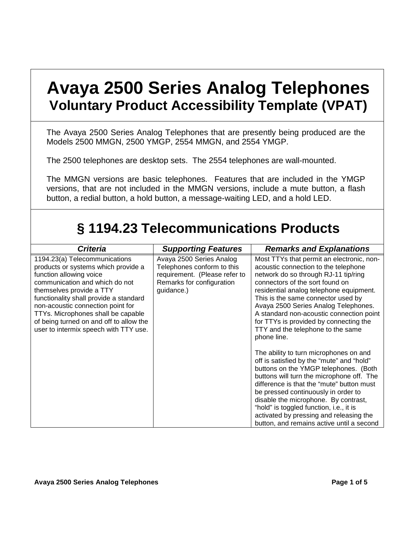## **Avaya 2500 Series Analog Telephones Voluntary Product Accessibility Template (VPAT)**

The Avaya 2500 Series Analog Telephones that are presently being produced are the Models 2500 MMGN, 2500 YMGP, 2554 MMGN, and 2554 YMGP.

The 2500 telephones are desktop sets. The 2554 telephones are wall-mounted.

The MMGN versions are basic telephones. Features that are included in the YMGP versions, that are not included in the MMGN versions, include a mute button, a flash button, a redial button, a hold button, a message-waiting LED, and a hold LED.

## **§ 1194.23 Telecommunications Products**

| <b>Criteria</b>                                                                                                                                                                                                                                                                                                                                                        | <b>Supporting Features</b>                                                                                                         | <b>Remarks and Explanations</b>                                                                                                                                                                                                                                                                                                                                                                                                          |
|------------------------------------------------------------------------------------------------------------------------------------------------------------------------------------------------------------------------------------------------------------------------------------------------------------------------------------------------------------------------|------------------------------------------------------------------------------------------------------------------------------------|------------------------------------------------------------------------------------------------------------------------------------------------------------------------------------------------------------------------------------------------------------------------------------------------------------------------------------------------------------------------------------------------------------------------------------------|
| 1194.23(a) Telecommunications<br>products or systems which provide a<br>function allowing voice<br>communication and which do not<br>themselves provide a TTY<br>functionality shall provide a standard<br>non-acoustic connection point for<br>TTYs. Microphones shall be capable<br>of being turned on and off to allow the<br>user to intermix speech with TTY use. | Avaya 2500 Series Analog<br>Telephones conform to this<br>requirement. (Please refer to<br>Remarks for configuration<br>guidance.) | Most TTYs that permit an electronic, non-<br>acoustic connection to the telephone<br>network do so through RJ-11 tip/ring<br>connectors of the sort found on<br>residential analog telephone equipment.<br>This is the same connector used by<br>Avaya 2500 Series Analog Telephones.<br>A standard non-acoustic connection point<br>for TTYs is provided by connecting the<br>TTY and the telephone to the same<br>phone line.          |
|                                                                                                                                                                                                                                                                                                                                                                        |                                                                                                                                    | The ability to turn microphones on and<br>off is satisfied by the "mute" and "hold"<br>buttons on the YMGP telephones. (Both<br>buttons will turn the microphone off. The<br>difference is that the "mute" button must<br>be pressed continuously in order to<br>disable the microphone. By contrast,<br>"hold" is toggled function, i.e., it is<br>activated by pressing and releasing the<br>button, and remains active until a second |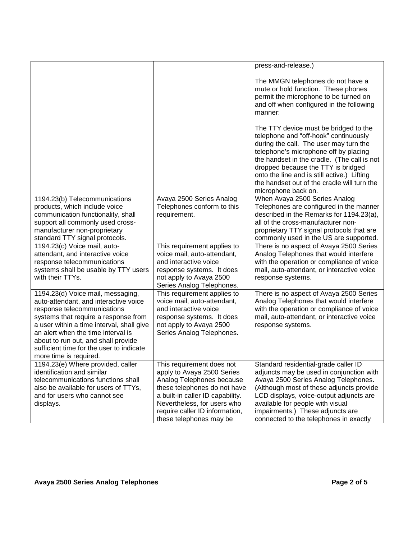|                                                                           |                                                               | press-and-release.)                                                                                                                                                                                                                                                                                                                                                         |
|---------------------------------------------------------------------------|---------------------------------------------------------------|-----------------------------------------------------------------------------------------------------------------------------------------------------------------------------------------------------------------------------------------------------------------------------------------------------------------------------------------------------------------------------|
|                                                                           |                                                               | The MMGN telephones do not have a<br>mute or hold function. These phones<br>permit the microphone to be turned on<br>and off when configured in the following<br>manner:                                                                                                                                                                                                    |
|                                                                           |                                                               | The TTY device must be bridged to the<br>telephone and "off-hook" continuously<br>during the call. The user may turn the<br>telephone's microphone off by placing<br>the handset in the cradle. (The call is not<br>dropped because the TTY is bridged<br>onto the line and is still active.) Lifting<br>the handset out of the cradle will turn the<br>microphone back on. |
| 1194.23(b) Telecommunications                                             | Avaya 2500 Series Analog                                      | When Avaya 2500 Series Analog                                                                                                                                                                                                                                                                                                                                               |
| products, which include voice                                             | Telephones conform to this                                    | Telephones are configured in the manner                                                                                                                                                                                                                                                                                                                                     |
| communication functionality, shall                                        | requirement.                                                  | described in the Remarks for 1194.23(a),                                                                                                                                                                                                                                                                                                                                    |
| support all commonly used cross-                                          |                                                               | all of the cross-manufacturer non-                                                                                                                                                                                                                                                                                                                                          |
| manufacturer non-proprietary<br>standard TTY signal protocols.            |                                                               | proprietary TTY signal protocols that are<br>commonly used in the US are supported.                                                                                                                                                                                                                                                                                         |
| 1194.23(c) Voice mail, auto-                                              | This requirement applies to                                   | There is no aspect of Avaya 2500 Series                                                                                                                                                                                                                                                                                                                                     |
| attendant, and interactive voice                                          | voice mail, auto-attendant,                                   | Analog Telephones that would interfere                                                                                                                                                                                                                                                                                                                                      |
| response telecommunications                                               | and interactive voice                                         | with the operation or compliance of voice                                                                                                                                                                                                                                                                                                                                   |
| systems shall be usable by TTY users                                      | response systems. It does                                     | mail, auto-attendant, or interactive voice                                                                                                                                                                                                                                                                                                                                  |
| with their TTYs.                                                          | not apply to Avaya 2500<br>Series Analog Telephones.          | response systems.                                                                                                                                                                                                                                                                                                                                                           |
| 1194.23(d) Voice mail, messaging,                                         | This requirement applies to                                   | There is no aspect of Avaya 2500 Series                                                                                                                                                                                                                                                                                                                                     |
| auto-attendant, and interactive voice                                     | voice mail, auto-attendant,                                   | Analog Telephones that would interfere                                                                                                                                                                                                                                                                                                                                      |
| response telecommunications                                               | and interactive voice                                         | with the operation or compliance of voice                                                                                                                                                                                                                                                                                                                                   |
| systems that require a response from                                      | response systems. It does                                     | mail, auto-attendant, or interactive voice                                                                                                                                                                                                                                                                                                                                  |
| a user within a time interval, shall give                                 | not apply to Avaya 2500                                       | response systems.                                                                                                                                                                                                                                                                                                                                                           |
| an alert when the time interval is<br>about to run out, and shall provide | Series Analog Telephones.                                     |                                                                                                                                                                                                                                                                                                                                                                             |
| sufficient time for the user to indicate                                  |                                                               |                                                                                                                                                                                                                                                                                                                                                                             |
| more time is required.                                                    |                                                               |                                                                                                                                                                                                                                                                                                                                                                             |
| 1194.23(e) Where provided, caller                                         | This requirement does not                                     | Standard residential-grade caller ID                                                                                                                                                                                                                                                                                                                                        |
| identification and similar                                                | apply to Avaya 2500 Series                                    | adjuncts may be used in conjunction with                                                                                                                                                                                                                                                                                                                                    |
| telecommunications functions shall                                        | Analog Telephones because                                     | Avaya 2500 Series Analog Telephones.                                                                                                                                                                                                                                                                                                                                        |
| also be available for users of TTYs,                                      | these telephones do not have                                  | (Although most of these adjuncts provide                                                                                                                                                                                                                                                                                                                                    |
| and for users who cannot see                                              | a built-in caller ID capability.                              | LCD displays, voice-output adjuncts are                                                                                                                                                                                                                                                                                                                                     |
| displays.                                                                 | Nevertheless, for users who<br>require caller ID information, | available for people with visual<br>impairments.) These adjuncts are                                                                                                                                                                                                                                                                                                        |
|                                                                           | these telephones may be                                       | connected to the telephones in exactly                                                                                                                                                                                                                                                                                                                                      |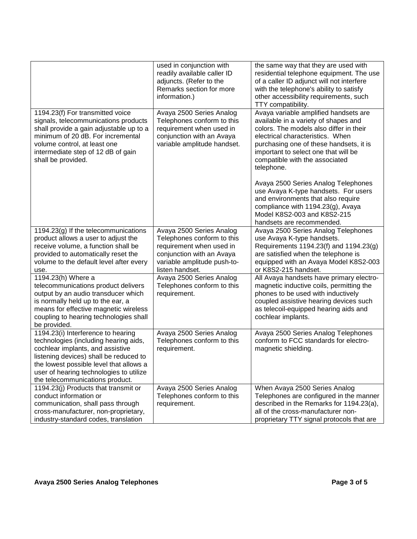|                                                                                                                                                                                                                                                      | used in conjunction with<br>readily available caller ID<br>adjuncts. (Refer to the<br>Remarks section for more<br>information.)                | the same way that they are used with<br>residential telephone equipment. The use<br>of a caller ID adjunct will not interfere<br>with the telephone's ability to satisfy<br>other accessibility requirements, such<br>TTY compatibility.                                                        |
|------------------------------------------------------------------------------------------------------------------------------------------------------------------------------------------------------------------------------------------------------|------------------------------------------------------------------------------------------------------------------------------------------------|-------------------------------------------------------------------------------------------------------------------------------------------------------------------------------------------------------------------------------------------------------------------------------------------------|
| 1194.23(f) For transmitted voice<br>signals, telecommunications products<br>shall provide a gain adjustable up to a<br>minimum of 20 dB. For incremental<br>volume control, at least one<br>intermediate step of 12 dB of gain<br>shall be provided. | Avaya 2500 Series Analog<br>Telephones conform to this<br>requirement when used in<br>conjunction with an Avaya<br>variable amplitude handset. | Avaya variable amplified handsets are<br>available in a variety of shapes and<br>colors. The models also differ in their<br>electrical characteristics. When<br>purchasing one of these handsets, it is<br>important to select one that will be<br>compatible with the associated<br>telephone. |
|                                                                                                                                                                                                                                                      |                                                                                                                                                | Avaya 2500 Series Analog Telephones<br>use Avaya K-type handsets. For users<br>and environments that also require<br>compliance with 1194.23(g), Avaya<br>Model K8S2-003 and K8S2-215<br>handsets are recommended.                                                                              |
| 1194.23(g) If the telecommunications                                                                                                                                                                                                                 | Avaya 2500 Series Analog                                                                                                                       | Avaya 2500 Series Analog Telephones                                                                                                                                                                                                                                                             |
| product allows a user to adjust the                                                                                                                                                                                                                  | Telephones conform to this                                                                                                                     | use Avaya K-type handsets.                                                                                                                                                                                                                                                                      |
| receive volume, a function shall be                                                                                                                                                                                                                  | requirement when used in                                                                                                                       | Requirements 1194.23(f) and 1194.23(g)                                                                                                                                                                                                                                                          |
| provided to automatically reset the                                                                                                                                                                                                                  | conjunction with an Avaya                                                                                                                      | are satisfied when the telephone is                                                                                                                                                                                                                                                             |
| volume to the default level after every                                                                                                                                                                                                              | variable amplitude push-to-                                                                                                                    | equipped with an Avaya Model K8S2-003                                                                                                                                                                                                                                                           |
| use.                                                                                                                                                                                                                                                 | listen handset.                                                                                                                                | or K8S2-215 handset.                                                                                                                                                                                                                                                                            |
| 1194.23(h) Where a                                                                                                                                                                                                                                   | Avaya 2500 Series Analog                                                                                                                       | All Avaya handsets have primary electro-                                                                                                                                                                                                                                                        |
| telecommunications product delivers<br>output by an audio transducer which                                                                                                                                                                           | Telephones conform to this<br>requirement.                                                                                                     | magnetic inductive coils, permitting the<br>phones to be used with inductively                                                                                                                                                                                                                  |
| is normally held up to the ear, a                                                                                                                                                                                                                    |                                                                                                                                                | coupled assistive hearing devices such                                                                                                                                                                                                                                                          |
| means for effective magnetic wireless                                                                                                                                                                                                                |                                                                                                                                                | as telecoil-equipped hearing aids and                                                                                                                                                                                                                                                           |
| coupling to hearing technologies shall                                                                                                                                                                                                               |                                                                                                                                                | cochlear implants.                                                                                                                                                                                                                                                                              |
| be provided.                                                                                                                                                                                                                                         |                                                                                                                                                |                                                                                                                                                                                                                                                                                                 |
| 1194.23(i) Interference to hearing                                                                                                                                                                                                                   | Avaya 2500 Series Analog                                                                                                                       | Avaya 2500 Series Analog Telephones                                                                                                                                                                                                                                                             |
| technologies (including hearing aids,                                                                                                                                                                                                                | Telephones conform to this                                                                                                                     | conform to FCC standards for electro-                                                                                                                                                                                                                                                           |
| cochlear implants, and assistive                                                                                                                                                                                                                     | requirement.                                                                                                                                   | magnetic shielding.                                                                                                                                                                                                                                                                             |
| listening devices) shall be reduced to                                                                                                                                                                                                               |                                                                                                                                                |                                                                                                                                                                                                                                                                                                 |
| the lowest possible level that allows a<br>user of hearing technologies to utilize                                                                                                                                                                   |                                                                                                                                                |                                                                                                                                                                                                                                                                                                 |
| the telecommunications product.                                                                                                                                                                                                                      |                                                                                                                                                |                                                                                                                                                                                                                                                                                                 |
| 1194.23(j) Products that transmit or                                                                                                                                                                                                                 | Avaya 2500 Series Analog                                                                                                                       | When Avaya 2500 Series Analog                                                                                                                                                                                                                                                                   |
| conduct information or                                                                                                                                                                                                                               | Telephones conform to this                                                                                                                     | Telephones are configured in the manner                                                                                                                                                                                                                                                         |
| communication, shall pass through                                                                                                                                                                                                                    | requirement.                                                                                                                                   | described in the Remarks for 1194.23(a),                                                                                                                                                                                                                                                        |
| cross-manufacturer, non-proprietary,                                                                                                                                                                                                                 |                                                                                                                                                | all of the cross-manufacturer non-                                                                                                                                                                                                                                                              |
| industry-standard codes, translation                                                                                                                                                                                                                 |                                                                                                                                                | proprietary TTY signal protocols that are                                                                                                                                                                                                                                                       |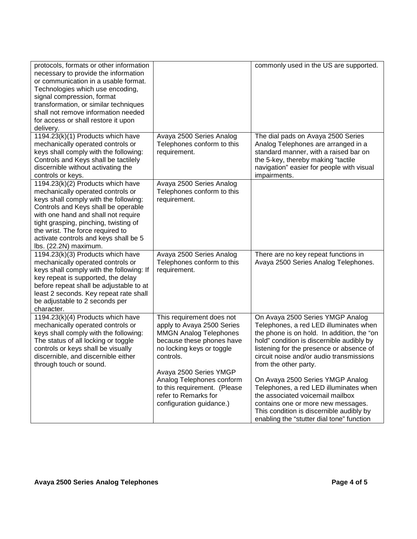| protocols, formats or other information<br>necessary to provide the information<br>or communication in a usable format.<br>Technologies which use encoding,<br>signal compression, format<br>transformation, or similar techniques<br>shall not remove information needed<br>for access or shall restore it upon<br>delivery.                |                                                                                                                                                                 | commonly used in the US are supported.                                                                                                                                                                                                                                                 |
|----------------------------------------------------------------------------------------------------------------------------------------------------------------------------------------------------------------------------------------------------------------------------------------------------------------------------------------------|-----------------------------------------------------------------------------------------------------------------------------------------------------------------|----------------------------------------------------------------------------------------------------------------------------------------------------------------------------------------------------------------------------------------------------------------------------------------|
| 1194.23(k)(1) Products which have<br>mechanically operated controls or<br>keys shall comply with the following:<br>Controls and Keys shall be tactilely<br>discernible without activating the<br>controls or keys.                                                                                                                           | Avaya 2500 Series Analog<br>Telephones conform to this<br>requirement.                                                                                          | The dial pads on Avaya 2500 Series<br>Analog Telephones are arranged in a<br>standard manner, with a raised bar on<br>the 5-key, thereby making "tactile<br>navigation" easier for people with visual<br>impairments.                                                                  |
| 1194.23(k)(2) Products which have<br>mechanically operated controls or<br>keys shall comply with the following:<br>Controls and Keys shall be operable<br>with one hand and shall not require<br>tight grasping, pinching, twisting of<br>the wrist. The force required to<br>activate controls and keys shall be 5<br>lbs. (22.2N) maximum. | Avaya 2500 Series Analog<br>Telephones conform to this<br>requirement.                                                                                          |                                                                                                                                                                                                                                                                                        |
| 1194.23(k)(3) Products which have<br>mechanically operated controls or<br>keys shall comply with the following: If<br>key repeat is supported, the delay<br>before repeat shall be adjustable to at<br>least 2 seconds. Key repeat rate shall<br>be adjustable to 2 seconds per<br>character.                                                | Avaya 2500 Series Analog<br>Telephones conform to this<br>requirement.                                                                                          | There are no key repeat functions in<br>Avaya 2500 Series Analog Telephones.                                                                                                                                                                                                           |
| 1194.23(k)(4) Products which have<br>mechanically operated controls or<br>keys shall comply with the following:<br>The status of all locking or toggle<br>controls or keys shall be visually<br>discernible, and discernible either<br>through touch or sound.                                                                               | This requirement does not<br>apply to Avaya 2500 Series<br><b>MMGN Analog Telephones</b><br>because these phones have<br>no locking keys or toggle<br>controls. | On Avaya 2500 Series YMGP Analog<br>Telephones, a red LED illuminates when<br>the phone is on hold. In addition, the "on<br>hold" condition is discernible audibly by<br>listening for the presence or absence of<br>circuit noise and/or audio transmissions<br>from the other party. |
|                                                                                                                                                                                                                                                                                                                                              | Avaya 2500 Series YMGP<br>Analog Telephones conform<br>to this requirement. (Please<br>refer to Remarks for<br>configuration guidance.)                         | On Avaya 2500 Series YMGP Analog<br>Telephones, a red LED illuminates when<br>the associated voicemail mailbox<br>contains one or more new messages.<br>This condition is discernible audibly by<br>enabling the "stutter dial tone" function                                          |